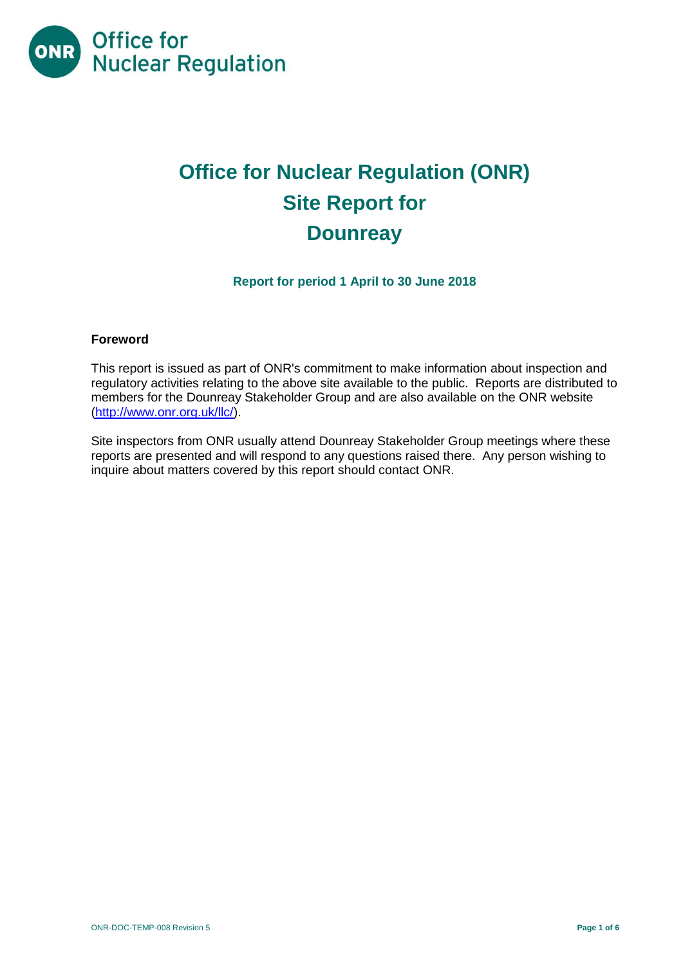

# **Office for Nuclear Regulation (ONR) Site Report for Dounreay**

**Report for period 1 April to 30 June 2018**

#### **Foreword**

This report is issued as part of ONR's commitment to make information about inspection and regulatory activities relating to the above site available to the public. Reports are distributed to members for the Dounreay Stakeholder Group and are also available on the ONR website [\(http://www.onr.org.uk/llc/\)](http://www.onr.org.uk/llc/).

Site inspectors from ONR usually attend Dounreay Stakeholder Group meetings where these reports are presented and will respond to any questions raised there. Any person wishing to inquire about matters covered by this report should contact ONR.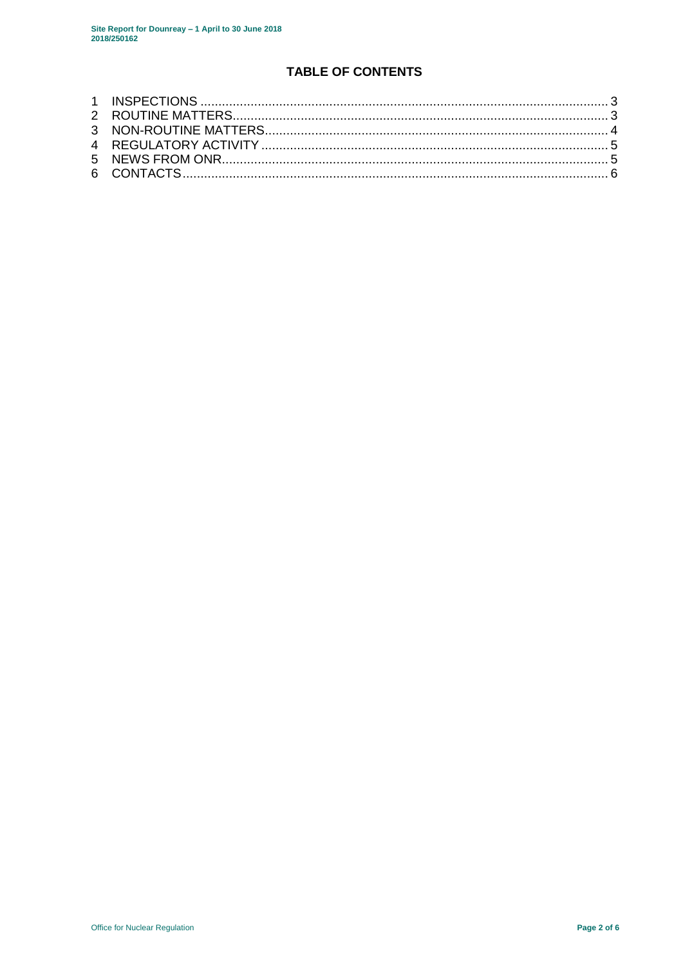# TABLE OF CONTENTS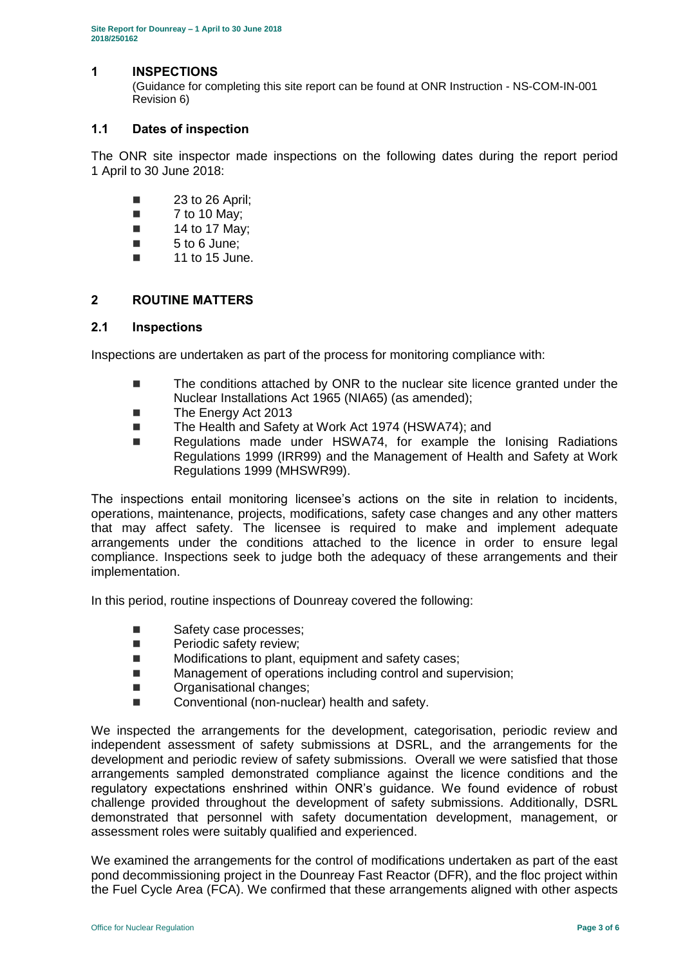#### <span id="page-2-0"></span>**1 INSPECTIONS**

(Guidance for completing this site report can be found at ONR Instruction - NS-COM-IN-001 Revision 6)

#### **1.1 Dates of inspection**

The ONR site inspector made inspections on the following dates during the report period 1 April to 30 June 2018:

- $\blacksquare$  23 to 26 April;
- $\blacksquare$  7 to 10 May;
- $\blacksquare$  14 to 17 May:
- 5 to 6 June;
- $\blacksquare$  11 to 15 June.

#### <span id="page-2-1"></span>**2 ROUTINE MATTERS**

#### **2.1 Inspections**

Inspections are undertaken as part of the process for monitoring compliance with:

- The conditions attached by ONR to the nuclear site licence granted under the Nuclear Installations Act 1965 (NIA65) (as amended);
- The Energy Act 2013
- The Health and Safety at Work Act 1974 (HSWA74); and
- Regulations made under HSWA74, for example the Ionising Radiations Regulations 1999 (IRR99) and the Management of Health and Safety at Work Regulations 1999 (MHSWR99).

The inspections entail monitoring licensee's actions on the site in relation to incidents, operations, maintenance, projects, modifications, safety case changes and any other matters that may affect safety. The licensee is required to make and implement adequate arrangements under the conditions attached to the licence in order to ensure legal compliance. Inspections seek to judge both the adequacy of these arrangements and their implementation.

In this period, routine inspections of Dounreay covered the following:

- Safety case processes;
- **Periodic safety review;**
- **Modifications to plant, equipment and safety cases;**
- Management of operations including control and supervision:
- **DECO**rganisational changes;
- Conventional (non-nuclear) health and safety.

We inspected the arrangements for the development, categorisation, periodic review and independent assessment of safety submissions at DSRL, and the arrangements for the development and periodic review of safety submissions. Overall we were satisfied that those arrangements sampled demonstrated compliance against the licence conditions and the regulatory expectations enshrined within ONR's guidance. We found evidence of robust challenge provided throughout the development of safety submissions. Additionally, DSRL demonstrated that personnel with safety documentation development, management, or assessment roles were suitably qualified and experienced.

We examined the arrangements for the control of modifications undertaken as part of the east pond decommissioning project in the Dounreay Fast Reactor (DFR), and the floc project within the Fuel Cycle Area (FCA). We confirmed that these arrangements aligned with other aspects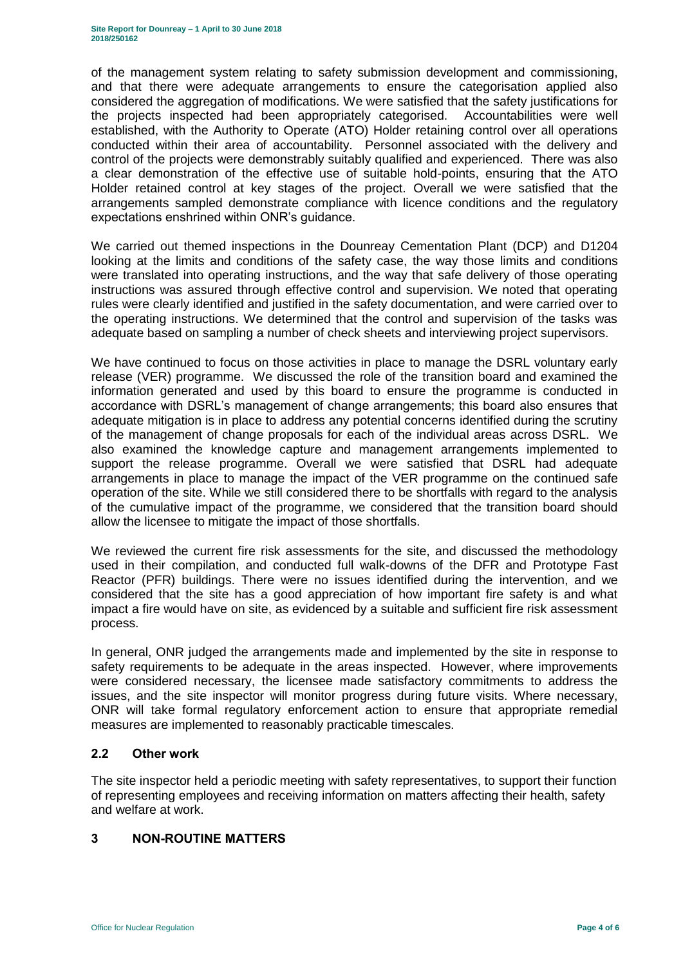of the management system relating to safety submission development and commissioning, and that there were adequate arrangements to ensure the categorisation applied also considered the aggregation of modifications. We were satisfied that the safety justifications for the projects inspected had been appropriately categorised. Accountabilities were well established, with the Authority to Operate (ATO) Holder retaining control over all operations conducted within their area of accountability. Personnel associated with the delivery and control of the projects were demonstrably suitably qualified and experienced. There was also a clear demonstration of the effective use of suitable hold-points, ensuring that the ATO Holder retained control at key stages of the project. Overall we were satisfied that the arrangements sampled demonstrate compliance with licence conditions and the regulatory expectations enshrined within ONR's guidance.

We carried out themed inspections in the Dounreay Cementation Plant (DCP) and D1204 looking at the limits and conditions of the safety case, the way those limits and conditions were translated into operating instructions, and the way that safe delivery of those operating instructions was assured through effective control and supervision. We noted that operating rules were clearly identified and justified in the safety documentation, and were carried over to the operating instructions. We determined that the control and supervision of the tasks was adequate based on sampling a number of check sheets and interviewing project supervisors.

We have continued to focus on those activities in place to manage the DSRL voluntary early release (VER) programme. We discussed the role of the transition board and examined the information generated and used by this board to ensure the programme is conducted in accordance with DSRL's management of change arrangements; this board also ensures that adequate mitigation is in place to address any potential concerns identified during the scrutiny of the management of change proposals for each of the individual areas across DSRL. We also examined the knowledge capture and management arrangements implemented to support the release programme. Overall we were satisfied that DSRL had adequate arrangements in place to manage the impact of the VER programme on the continued safe operation of the site. While we still considered there to be shortfalls with regard to the analysis of the cumulative impact of the programme, we considered that the transition board should allow the licensee to mitigate the impact of those shortfalls.

We reviewed the current fire risk assessments for the site, and discussed the methodology used in their compilation, and conducted full walk-downs of the DFR and Prototype Fast Reactor (PFR) buildings. There were no issues identified during the intervention, and we considered that the site has a good appreciation of how important fire safety is and what impact a fire would have on site, as evidenced by a suitable and sufficient fire risk assessment process.

In general, ONR judged the arrangements made and implemented by the site in response to safety requirements to be adequate in the areas inspected. However, where improvements were considered necessary, the licensee made satisfactory commitments to address the issues, and the site inspector will monitor progress during future visits. Where necessary, ONR will take formal regulatory enforcement action to ensure that appropriate remedial measures are implemented to reasonably practicable timescales.

#### **2.2 Other work**

The site inspector held a periodic meeting with safety representatives, to support their function of representing employees and receiving information on matters affecting their health, safety and welfare at work.

#### <span id="page-3-0"></span>**3 NON-ROUTINE MATTERS**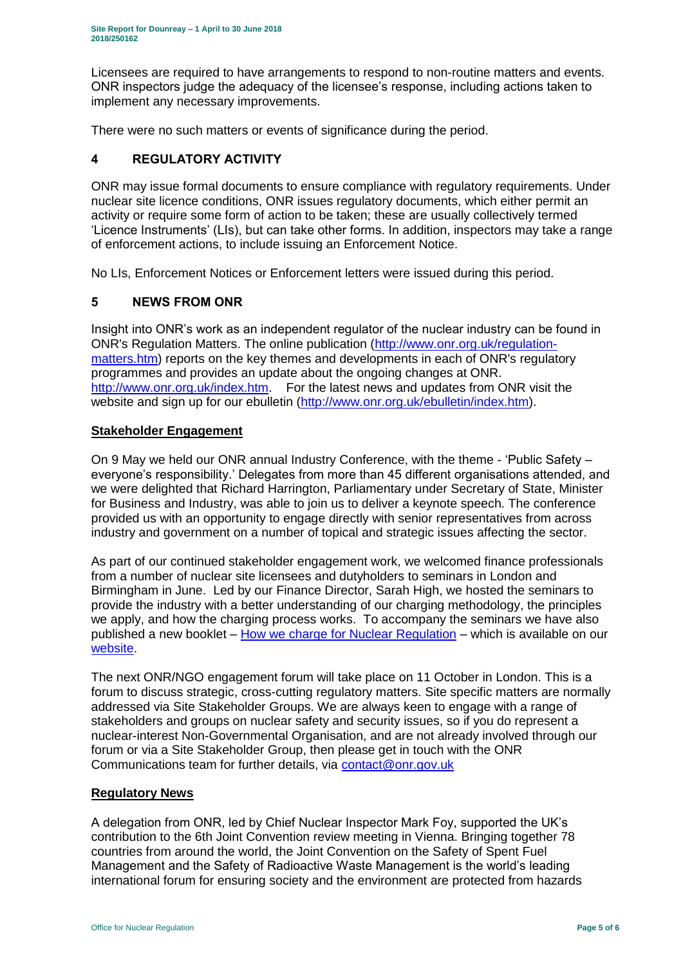Licensees are required to have arrangements to respond to non-routine matters and events. ONR inspectors judge the adequacy of the licensee's response, including actions taken to implement any necessary improvements.

There were no such matters or events of significance during the period.

# <span id="page-4-0"></span>**4 REGULATORY ACTIVITY**

ONR may issue formal documents to ensure compliance with regulatory requirements. Under nuclear site licence conditions, ONR issues regulatory documents, which either permit an activity or require some form of action to be taken; these are usually collectively termed 'Licence Instruments' (LIs), but can take other forms. In addition, inspectors may take a range of enforcement actions, to include issuing an Enforcement Notice.

No LIs, Enforcement Notices or Enforcement letters were issued during this period.

#### <span id="page-4-1"></span>**5 NEWS FROM ONR**

Insight into ONR's work as an independent regulator of the nuclear industry can be found in ONR's Regulation Matters. The online publication [\(http://www.onr.org.uk/regulation](http://www.onr.org.uk/regulation-matters.htm)[matters.htm\)](http://www.onr.org.uk/regulation-matters.htm) reports on the key themes and developments in each of ONR's regulatory programmes and provides an update about the ongoing changes at ONR. [http://www.onr.org.uk/index.htm.](http://www.onr.org.uk/index.htm) For the latest news and updates from ONR visit the website and sign up for our ebulletin [\(http://www.onr.org.uk/ebulletin/index.htm\)](http://www.onr.org.uk/ebulletin/index.htm).

### **Stakeholder Engagement**

On 9 May we held our ONR annual Industry Conference, with the theme - 'Public Safety – everyone's responsibility.' Delegates from more than 45 different organisations attended, and we were delighted that Richard Harrington, Parliamentary under Secretary of State, Minister for Business and Industry, was able to join us to deliver a keynote speech. The conference provided us with an opportunity to engage directly with senior representatives from across industry and government on a number of topical and strategic issues affecting the sector.

As part of our continued stakeholder engagement work, we welcomed finance professionals from a number of nuclear site licensees and dutyholders to seminars in London and Birmingham in June. Led by our Finance Director, Sarah High, we hosted the seminars to provide the industry with a better understanding of our charging methodology, the principles we apply, and how the charging process works. To accompany the seminars we have also published a new booklet – [How we charge for Nuclear Regulation](http://www.onr.org.uk/documents/2018/how-we-charge-for-nuclear-regulation.pdf) – which is available on our [website.](http://www.onr.org.uk/documents/2018/how-we-charge-for-nuclear-regulation.pdf)

The next ONR/NGO engagement forum will take place on 11 October in London. This is a forum to discuss strategic, cross-cutting regulatory matters. Site specific matters are normally addressed via Site Stakeholder Groups. We are always keen to engage with a range of stakeholders and groups on nuclear safety and security issues, so if you do represent a nuclear-interest Non-Governmental Organisation, and are not already involved through our forum or via a Site Stakeholder Group, then please get in touch with the ONR Communications team for further details, via [contact@onr.gov.uk](mailto:contact@onr.gov.uk)

#### **Regulatory News**

A delegation from ONR, led by Chief Nuclear Inspector Mark Foy, supported the UK's contribution to the 6th Joint Convention review meeting in Vienna. Bringing together 78 countries from around the world, the Joint Convention on the Safety of Spent Fuel Management and the Safety of Radioactive Waste Management is the world's leading international forum for ensuring society and the environment are protected from hazards